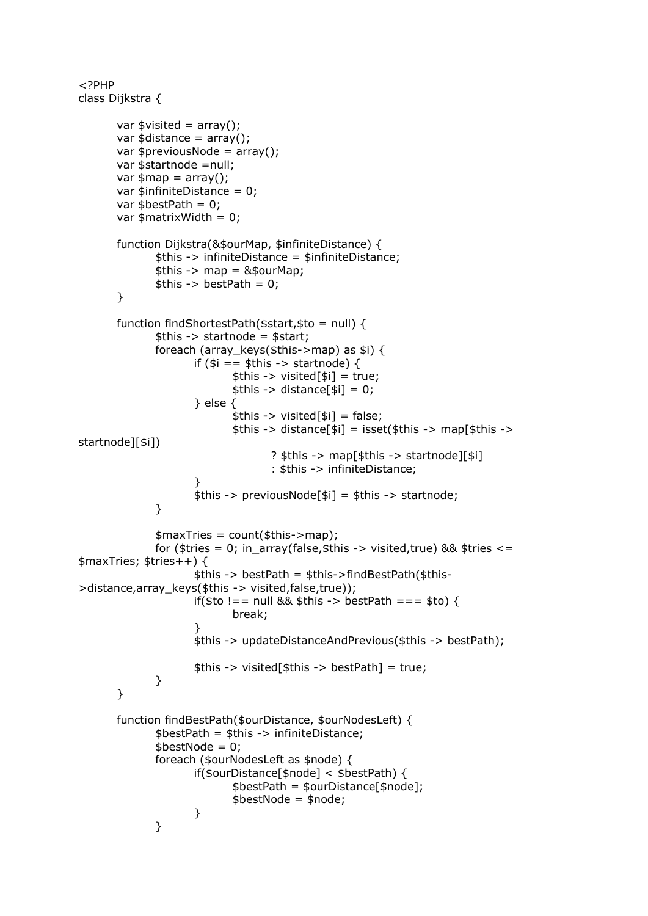```
<?PHP
class Dijkstra {
       var \text{twisted} = \text{array}();
       var $distance = arrow();
       var $previousNode = array();
       var $startnode = null;
       var \text{3map} = \text{array}();
       var \text{S}\text{infinite}Distance = 0;
       var \text{SbestPath} = 0:
       var $matrixWidth = 0;function Dijkstra(&$ourMap, $infiniteDistance) {
               $this -> infiniteDistance = $infiniteDistance;
               $this -> map = &$ourMap;$this -> bestPath = 0;\mathcal{E}function findShortestPath($start,$to = null) {
               $this -> startnode = $start;foreach (array_keys($this->map) as $i) {
                      if (\$i == $this -> startnode) {
                             $this -> visited[$i] = true;
                             $this -> distance[$i] = 0;\} else \{$this -> visited[$i] = false;
                             $this -> distance[$i] = isset($this -> map[$this ->
startnode][$i])
                                     ? $this -> map[$this -> startnode][$i]: $this -> infiniteDistance;
                      $this -> previousNode[$i] = $this -> startnode;
               \lambda$maxTries = count($this \text{-}map);for ($tries = 0; in_array(false, $this -> visited, true) && $tries <=
$maxTries; $tries++$$this -> bestPath = $this->findBestPath($this-
>distance,array_keys($this -> visited,false,true));
                      if($to !== null && $this -> bestPath === $to) {
                             break:
                      $this -> updateDistanceAndPrevious($this -> bestPath);
                      $this -> visited[$this -> bestPath] = true;
               \mathcal{F}\mathcal{E}function findBestPath($ourDistance, $ourNodesLeft) {
               $bestPath = $this -> infiniteDistance;$bestNode = 0;foreach ($ourNodesLeft as $node) {
                      if($ourDistance[$node] < $bestPath) {
                              $bestPath = $ourDistance[$node];
                             $bestNode = $node;\mathcal{E}\mathcal{F}
```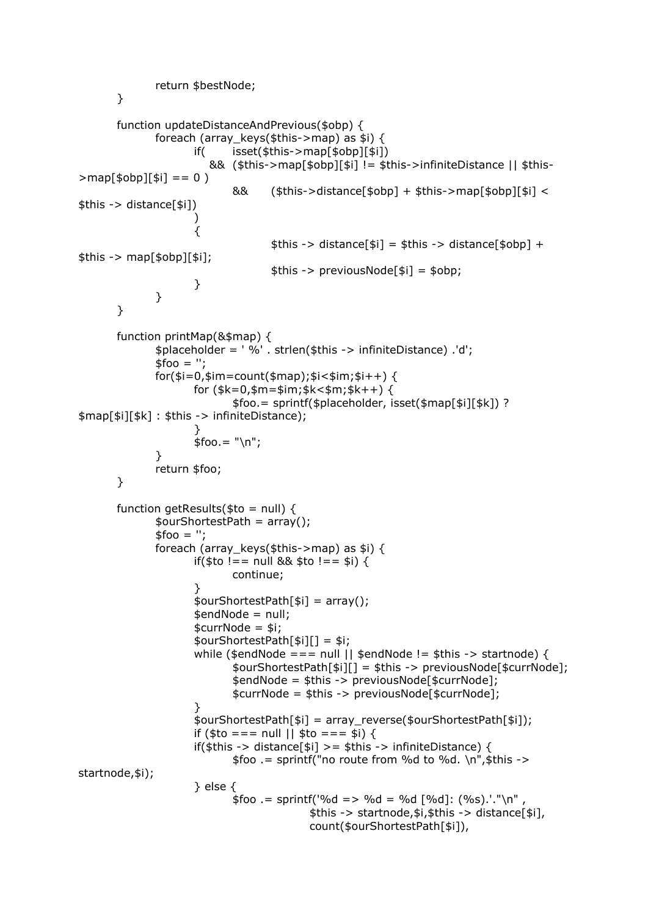```
return $bestNode;
       \mathcal{F}function updateDistanceAndPrevious($obp) {
               foreach (array keys($this->map) as $i) {
                              \text{isset}(\text{sthis} > \text{map}[\text{sobp}][\text{si}])if(
                          && ($this->map[$obp][$i] != $this->infiniteDistance || $this-
>map[$obp][$i] == 0)
                              &&
                                      $this > distance[$obp] + $this >map[$obp][$i] <$this -> distance[$i]\lambda\{$this -> distance[$i] = $this -> distance[$obp] +
$this -> map[$obj];
                                      $this -> previous Node [$i] = $obj;}
               }
       \mathcal{F}function printMap(&$map) {
               $placeholder = '%' . strlen($this -> infiniteDistance) .'d';
               $foo = ";for ($i=0, $im=count ($map); $i< $im; $i++) { }for (\frac{1}{2}k = 0, \frac{1}{2}m = \frac{1}{2}m; \frac{1}{2}k < \frac{1}{2}m; \frac{1}{2}k + \frac{1}{2}m$foo. = sprintf($placeholder, isset($map[$i][$k]) ?
$map[$i][$k]: $this -> infiniteDistance);
                      $foo = "\\n";}
               return $foo;
       \mathcal{E}function getResults($to = null) {
               $ourShortestPath = array();$foo = "foreach (array_keys($this->map) as $i) {
                      if($to !== null && $to !== $i) {
                              continue:
                      sourShortestPath[si] = array();$endNode = null;$currNode = $i;$ourShortestPath[$i][] = $i;
                      while ($endNode === null || $endNode != $this -> startnode) {
                              $ourShortestPath[$i][] = $this -> previousNode[$currNode];
                              $endNode = $this -> previousNode[$currNode];
                              $currNode = $this -> previousNode[$currNode];
                       }
                       $ourShortestPath[$i] = array_reverse($ourShortestPath[$i]);
                      if (\text{fto} == \text{null} || \text{fto} == \text{si})if($this -> distance[$i] >= $this -> infiniteDistance) {
                              $foo := sprintf("no route from %d to %d. \n", $this ->
startnode, $i);
                      \} else \{$foo .= sprintf('%d => %d = %d [%d]: (%s).'."\n",
                                             $this -> startnode, $i, $this -> distance[$i],
                                             count($ourShortestPath[$i]),
```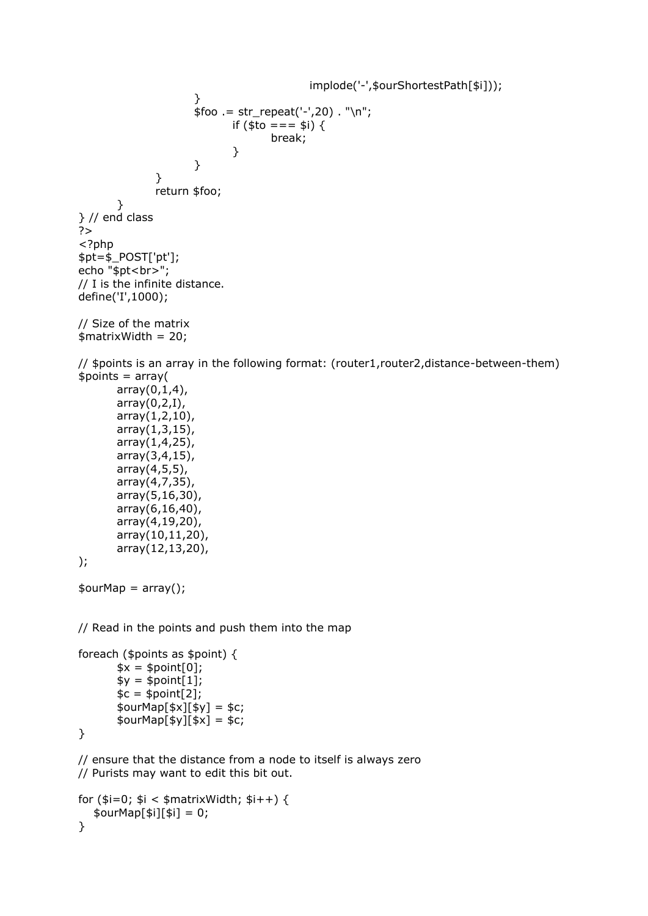```
implode('-',$ourShortestPath[$i]));
                      }
                      $foo = str_repeat('-',20) . "\\n";if ($to = = = $i) {
                                     break;
                             }
                      }
               }
               return $foo;
       }
} // end class 
?>
<?php
$pt=$_POST['pt'];
echo "$pt<br>";
// I is the infinite distance.
define('I',1000);
// Size of the matrix
$matrixWidth = 20;
// $points is an array in the following format: (router1,router2,distance-between-them)
$points = array(array(0,1,4),
       array(0,2,I),
       array(1,2,10),
       array(1,3,15),
       array(1,4,25),
       array(3,4,15),
       array(4,5,5),
       array(4,7,35),
       array(5,16,30),
       array(6,16,40),
       array(4,19,20),
       array(10,11,20),
       array(12,13,20),
);
\text{\$ourMap} = \text{array}();
// Read in the points and push them into the map
foreach ($points as $point) {
       *x = $point[0];$y = $point[1];\mathcal{S}c = \mathcal{S}point[2];$ourMap[$x][$y] = $c;
       $ourMap[$y][$x] = $c;}
// ensure that the distance from a node to itself is always zero
// Purists may want to edit this bit out.
for (\frac{\sin 1}{\sin 1} - \sin 1 - \sin 1) {
   $ourMap[$i][$i] = 0;
```

```
}
```